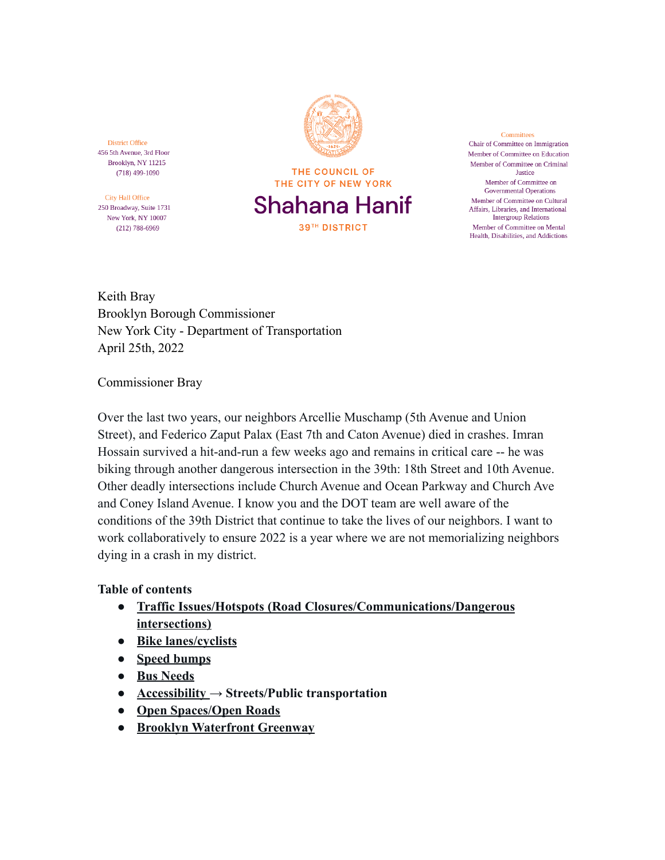**District Office** 456 5th Avenue, 3rd Floor Brooklyn, NY 11215  $(718)$  499-1090

City Hall Office 250 Broadway, Suite 1731 New York, NY 10007  $(212) 788 - 6969$ 

THE COUNCIL OF THE CITY OF NEW YORK Shahana Hanif **39TH DISTRICT** 

Committees Chair of Committee on Immigration Member of Committee on Education Member of Committee on Criminal Justice Member of Committee on **Governmental Operations** Member of Committee on Cultural Affairs, Libraries, and International **Intergroup Relations** Member of Committee on Mental Health, Disabilities, and Addictions

Keith Bray Brooklyn Borough Commissioner New York City - Department of Transportation April 25th, 2022

Commissioner Bray

Over the last two years, our neighbors Arcellie Muschamp (5th Avenue and Union Street), and Federico Zaput Palax (East 7th and Caton Avenue) died in crashes. Imran Hossain survived a hit-and-run a few weeks ago and remains in critical care -- he was biking through another dangerous intersection in the 39th: 18th Street and 10th Avenue. Other deadly intersections include Church Avenue and Ocean Parkway and Church Ave and Coney Island Avenue. I know you and the DOT team are well aware of the conditions of the 39th District that continue to take the lives of our neighbors. I want to work collaboratively to ensure 2022 is a year where we are not memorializing neighbors dying in a crash in my district.

### **Table of contents**

- **● [Traffic Issues/Hotspots \(Road Closures/Communications/Dangerous](#page-1-0) [intersections\)](#page-1-0)**
- **● [Bike lanes/cyclists](#page-2-0)**
- **● [Speed bumps](#page-3-0)**
- **● [Bus Needs](#page-2-1)**
- **● [Accessibility](#page-2-2) → Streets/Public transportation**
- **● [Open Spaces/Open Roads](#page-3-1)**
- **● Brooklyn Waterfront Greenway**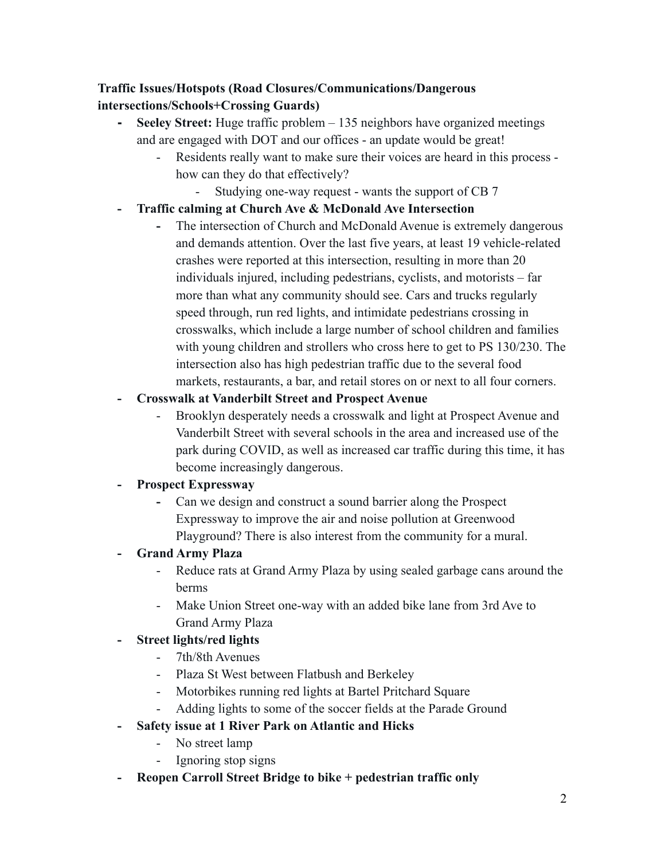## <span id="page-1-0"></span>**Traffic Issues/Hotspots (Road Closures/Communications/Dangerous intersections/Schools+Crossing Guards)**

- **- Seeley Street:** Huge traffic problem 135 neighbors have organized meetings and are engaged with DOT and our offices - an update would be great!
	- Residents really want to make sure their voices are heard in this process how can they do that effectively?
		- Studying one-way request wants the support of CB 7

## **- Traffic calming at Church Ave & McDonald Ave Intersection**

**-** The intersection of Church and McDonald Avenue is extremely dangerous and demands attention. Over the last five years, at least 19 vehicle-related crashes were reported at this intersection, resulting in more than 20 individuals injured, including pedestrians, cyclists, and motorists – far more than what any community should see. Cars and trucks regularly speed through, run red lights, and intimidate pedestrians crossing in crosswalks, which include a large number of school children and families with young children and strollers who cross here to get to PS 130/230. The intersection also has high pedestrian traffic due to the several food markets, restaurants, a bar, and retail stores on or next to all four corners.

## **- Crosswalk at Vanderbilt Street and Prospect Avenue**

- Brooklyn desperately needs a crosswalk and light at Prospect Avenue and Vanderbilt Street with several schools in the area and increased use of the park during COVID, as well as increased car traffic during this time, it has become increasingly dangerous.

## **- Prospect Expressway**

**-** Can we design and construct a sound barrier along the Prospect Expressway to improve the air and noise pollution at Greenwood Playground? There is also interest from the community for a mural.

## **- Grand Army Plaza**

- Reduce rats at Grand Army Plaza by using sealed garbage cans around the berms
- Make Union Street one-way with an added bike lane from 3rd Ave to Grand Army Plaza

## **- Street lights/red lights**

- 7th/8th Avenues
- Plaza St West between Flatbush and Berkeley
- Motorbikes running red lights at Bartel Pritchard Square
- Adding lights to some of the soccer fields at the Parade Ground

## **- Safety issue at 1 River Park on Atlantic and Hicks**

- No street lamp
- Ignoring stop signs
- **- Reopen Carroll Street Bridge to bike + pedestrian traffic only**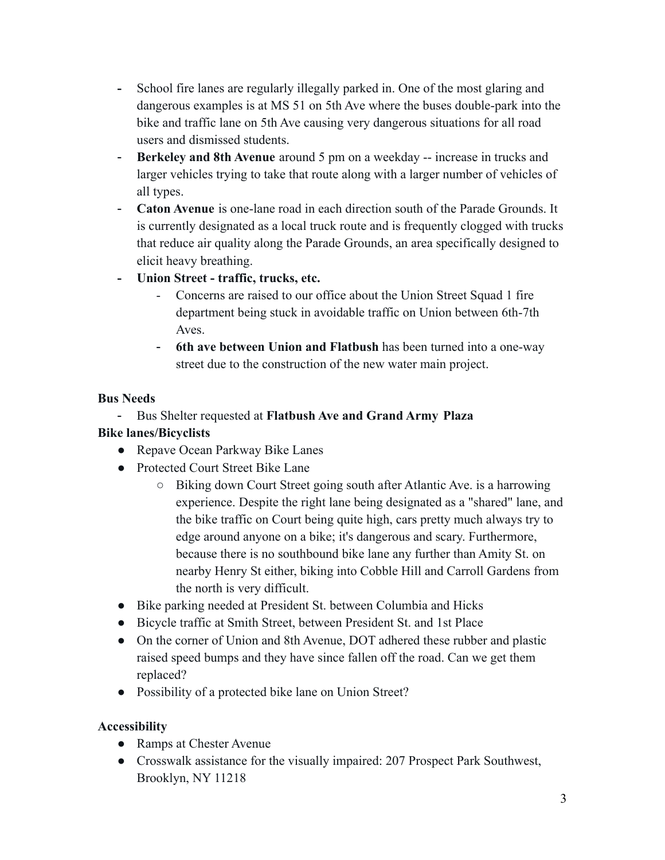- **-** School fire lanes are regularly illegally parked in. One of the most glaring and dangerous examples is at MS 51 on 5th Ave where the buses double-park into the bike and traffic lane on 5th Ave causing very dangerous situations for all road users and dismissed students.
- **Berkeley and 8th Avenue** around 5 pm on a weekday -- increase in trucks and larger vehicles trying to take that route along with a larger number of vehicles of all types.
- **Caton Avenue** is one-lane road in each direction south of the Parade Grounds. It is currently designated as a local truck route and is frequently clogged with trucks that reduce air quality along the Parade Grounds, an area specifically designed to elicit heavy breathing.
- **- Union Street traffic, trucks, etc.**
	- Concerns are raised to our office about the Union Street Squad 1 fire department being stuck in avoidable traffic on Union between 6th-7th Aves.
	- **6th ave between Union and Flatbush** has been turned into a one-way street due to the construction of the new water main project.

### <span id="page-2-1"></span>**Bus Needs**

### <span id="page-2-0"></span>- Bus Shelter requested at **Flatbush Ave and Grand Army Plaza Bike lanes/Bicyclists**

# • Repave Ocean Parkway Bike Lanes

- Protected Court Street Bike Lane
	- Biking down Court Street going south after Atlantic Ave. is a harrowing experience. Despite the right lane being designated as a "shared" lane, and the bike traffic on Court being quite high, cars pretty much always try to edge around anyone on a bike; it's dangerous and scary. Furthermore, because there is no southbound bike lane any further than Amity St. on nearby Henry St either, biking into Cobble Hill and Carroll Gardens from the north is very difficult.
- Bike parking needed at President St. between Columbia and Hicks
- Bicycle traffic at Smith Street, between President St. and 1st Place
- On the corner of Union and 8th Avenue, DOT adhered these rubber and plastic raised speed bumps and they have since fallen off the road. Can we get them replaced?
- Possibility of a protected bike lane on Union Street?

### <span id="page-2-2"></span>**Accessibility**

- **●** Ramps at Chester Avenue
- **●** Crosswalk assistance for the visually impaired: 207 Prospect Park Southwest, Brooklyn, NY 11218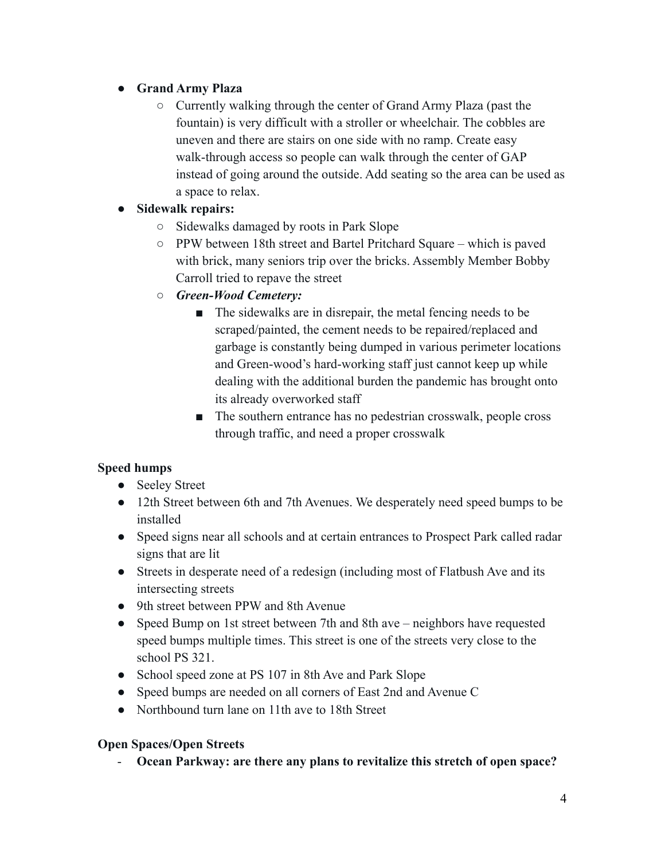## **● Grand Army Plaza**

- Currently walking through the center of Grand Army Plaza (past the fountain) is very difficult with a stroller or wheelchair. The cobbles are uneven and there are stairs on one side with no ramp. Create easy walk-through access so people can walk through the center of GAP instead of going around the outside. Add seating so the area can be used as a space to relax.
- **● Sidewalk repairs:**
	- Sidewalks damaged by roots in Park Slope
	- PPW between 18th street and Bartel Pritchard Square which is paved with brick, many seniors trip over the bricks. Assembly Member Bobby Carroll tried to repave the street
	- *Green-Wood Cemetery:*
		- The sidewalks are in disrepair, the metal fencing needs to be scraped/painted, the cement needs to be repaired/replaced and garbage is constantly being dumped in various perimeter locations and Green-wood's hard-working staff just cannot keep up while dealing with the additional burden the pandemic has brought onto its already overworked staff
		- The southern entrance has no pedestrian crosswalk, people cross through traffic, and need a proper crosswalk

## <span id="page-3-0"></span>**Speed humps**

- **●** Seeley Street
- **●** 12th Street between 6th and 7th Avenues. We desperately need speed bumps to be installed
- **●** Speed signs near all schools and at certain entrances to Prospect Park called radar signs that are lit
- **●** Streets in desperate need of a redesign (including most of Flatbush Ave and its intersecting streets
- **●** 9th street between PPW and 8th Avenue
- Speed Bump on 1st street between 7th and 8th ave neighbors have requested speed bumps multiple times. This street is one of the streets very close to the school PS 321.
- School speed zone at PS 107 in 8th Ave and Park Slope
- Speed bumps are needed on all corners of East 2nd and Avenue C
- Northbound turn lane on 11th ave to 18th Street

### <span id="page-3-1"></span>**Open Spaces/Open Streets**

- **Ocean Parkway: are there any plans to revitalize this stretch of open space?**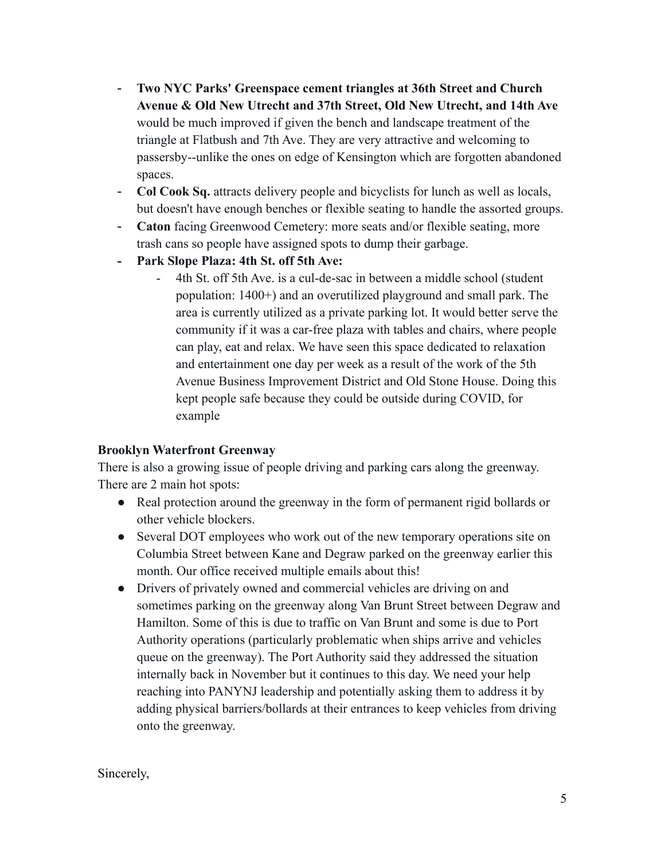- **Two NYC Parks' Greenspace cement triangles at 36th Street and Church Avenue & Old New Utrecht and 37th Street, Old New Utrecht, and 14th Ave** would be much improved if given the bench and landscape treatment of the triangle at Flatbush and 7th Ave. They are very attractive and welcoming to passersby--unlike the ones on edge of Kensington which are forgotten abandoned spaces.
- **Col Cook Sq.** attracts delivery people and bicyclists for lunch as well as locals, but doesn't have enough benches or flexible seating to handle the assorted groups.
- **Caton** facing Greenwood Cemetery: more seats and/or flexible seating, more trash cans so people have assigned spots to dump their garbage.
- **- Park Slope Plaza: 4th St. off 5th Ave:**
	- 4th St. off 5th Ave. is a cul-de-sac in between a middle school (student population: 1400+) and an overutilized playground and small park. The area is currently utilized as a private parking lot. It would better serve the community if it was a car-free plaza with tables and chairs, where people can play, eat and relax. We have seen this space dedicated to relaxation and entertainment one day per week as a result of the work of the 5th Avenue Business Improvement District and Old Stone House. Doing this kept people safe because they could be outside during COVID, for example

#### **Brooklyn Waterfront Greenway**

There is also a growing issue of people driving and parking cars along the greenway. There are 2 main hot spots:

- Real protection around the greenway in the form of permanent rigid bollards or other vehicle blockers.
- Several DOT employees who work out of the new temporary operations site on Columbia Street between Kane and Degraw parked on the greenway earlier this month. Our office received multiple emails about this!
- Drivers of privately owned and commercial vehicles are driving on and sometimes parking on the greenway along Van Brunt Street between Degraw and Hamilton. Some of this is due to traffic on Van Brunt and some is due to Port Authority operations (particularly problematic when ships arrive and vehicles queue on the greenway). The Port Authority said they addressed the situation internally back in November but it continues to this day. We need your help reaching into PANYNJ leadership and potentially asking them to address it by adding physical barriers/bollards at their entrances to keep vehicles from driving onto the greenway.